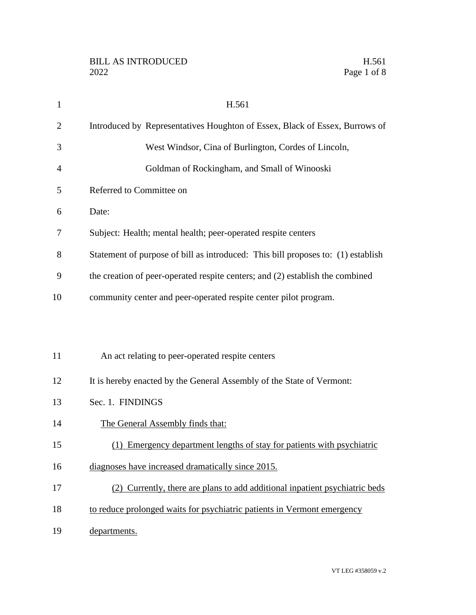| $\mathbf{1}$   | H.561                                                                            |
|----------------|----------------------------------------------------------------------------------|
| $\overline{2}$ | Introduced by Representatives Houghton of Essex, Black of Essex, Burrows of      |
| 3              | West Windsor, Cina of Burlington, Cordes of Lincoln,                             |
| $\overline{4}$ | Goldman of Rockingham, and Small of Winooski                                     |
| 5              | Referred to Committee on                                                         |
| 6              | Date:                                                                            |
| 7              | Subject: Health; mental health; peer-operated respite centers                    |
| 8              | Statement of purpose of bill as introduced: This bill proposes to: (1) establish |
| 9              | the creation of peer-operated respite centers; and (2) establish the combined    |
| 10             | community center and peer-operated respite center pilot program.                 |
|                |                                                                                  |
|                |                                                                                  |
| 11             | An act relating to peer-operated respite centers                                 |
| 12             | It is hereby enacted by the General Assembly of the State of Vermont:            |
| 13             | Sec. 1. FINDINGS                                                                 |
| 14             | The General Assembly finds that:                                                 |
| 15             | (1) Emergency department lengths of stay for patients with psychiatric           |
| 16             | diagnoses have increased dramatically since 2015.                                |
| 17             | (2) Currently, there are plans to add additional inpatient psychiatric beds      |
| 18             | to reduce prolonged waits for psychiatric patients in Vermont emergency          |
| 19             | departments.                                                                     |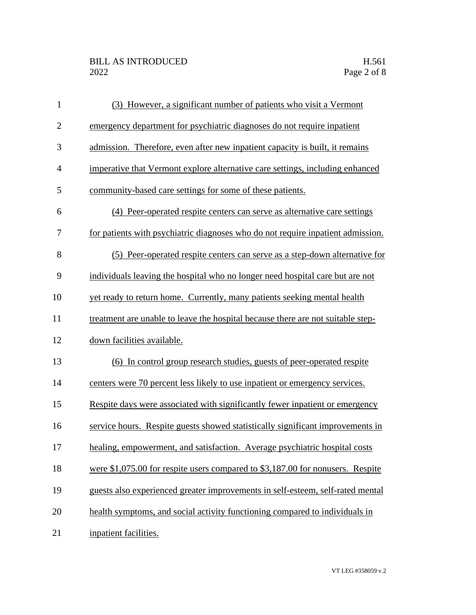| $\mathbf{1}$   | (3) However, a significant number of patients who visit a Vermont               |
|----------------|---------------------------------------------------------------------------------|
| $\mathbf{2}$   | emergency department for psychiatric diagnoses do not require inpatient         |
| 3              | admission. Therefore, even after new inpatient capacity is built, it remains    |
| $\overline{4}$ | imperative that Vermont explore alternative care settings, including enhanced   |
| 5              | community-based care settings for some of these patients.                       |
| 6              | (4) Peer-operated respite centers can serve as alternative care settings        |
| 7              | for patients with psychiatric diagnoses who do not require inpatient admission. |
| 8              | (5) Peer-operated respite centers can serve as a step-down alternative for      |
| 9              | individuals leaving the hospital who no longer need hospital care but are not   |
| 10             | yet ready to return home. Currently, many patients seeking mental health        |
| 11             | treatment are unable to leave the hospital because there are not suitable step- |
| 12             | down facilities available.                                                      |
| 13             | (6) In control group research studies, guests of peer-operated respite          |
| 14             | centers were 70 percent less likely to use inpatient or emergency services.     |
| 15             | Respite days were associated with significantly fewer inpatient or emergency    |
| 16             | service hours. Respite guests showed statistically significant improvements in  |
| 17             | healing, empowerment, and satisfaction. Average psychiatric hospital costs      |
| 18             | were \$1,075.00 for respite users compared to \$3,187.00 for nonusers. Respite  |
| 19             | guests also experienced greater improvements in self-esteem, self-rated mental  |
| 20             | health symptoms, and social activity functioning compared to individuals in     |
| 21             | inpatient facilities.                                                           |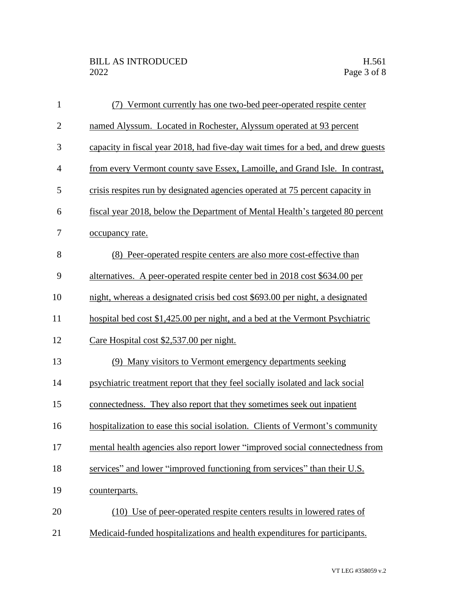| $\mathbf{1}$   | (7) Vermont currently has one two-bed peer-operated respite center               |
|----------------|----------------------------------------------------------------------------------|
| $\mathbf{2}$   | named Alyssum. Located in Rochester, Alyssum operated at 93 percent              |
| 3              | capacity in fiscal year 2018, had five-day wait times for a bed, and drew guests |
| $\overline{4}$ | from every Vermont county save Essex, Lamoille, and Grand Isle. In contrast,     |
| 5              | crisis respites run by designated agencies operated at 75 percent capacity in    |
| 6              | fiscal year 2018, below the Department of Mental Health's targeted 80 percent    |
| 7              | occupancy rate.                                                                  |
| 8              | (8) Peer-operated respite centers are also more cost-effective than              |
| 9              | alternatives. A peer-operated respite center bed in 2018 cost \$634.00 per       |
| 10             | night, whereas a designated crisis bed cost \$693.00 per night, a designated     |
| 11             | hospital bed cost \$1,425.00 per night, and a bed at the Vermont Psychiatric     |
| 12             | Care Hospital cost \$2,537.00 per night.                                         |
| 13             | (9) Many visitors to Vermont emergency departments seeking                       |
| 14             | psychiatric treatment report that they feel socially isolated and lack social    |
| 15             | connectedness. They also report that they sometimes seek out inpatient           |
| 16             | hospitalization to ease this social isolation. Clients of Vermont's community    |
| 17             | mental health agencies also report lower "improved social connectedness from     |
| 18             | services" and lower "improved functioning from services" than their U.S.         |
| 19             | counterparts.                                                                    |
| 20             | (10) Use of peer-operated respite centers results in lowered rates of            |
| 21             | Medicaid-funded hospitalizations and health expenditures for participants.       |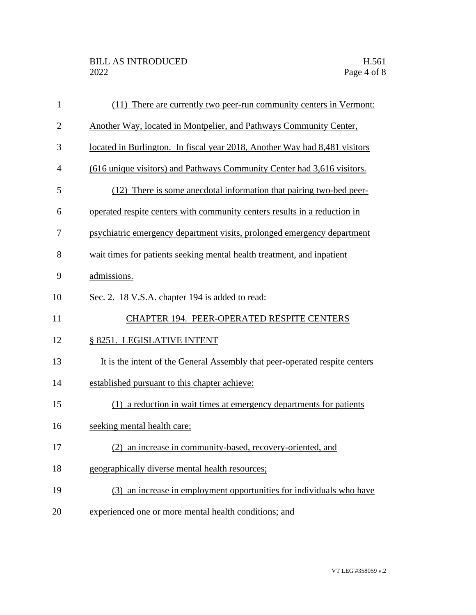| $\mathbf{1}$   | (11) There are currently two peer-run community centers in Vermont:         |
|----------------|-----------------------------------------------------------------------------|
| $\overline{2}$ | Another Way, located in Montpelier, and Pathways Community Center,          |
| 3              | located in Burlington. In fiscal year 2018, Another Way had 8,481 visitors  |
| $\overline{4}$ | (616 unique visitors) and Pathways Community Center had 3,616 visitors.     |
| 5              | (12) There is some anecdotal information that pairing two-bed peer-         |
| 6              | operated respite centers with community centers results in a reduction in   |
| 7              | psychiatric emergency department visits, prolonged emergency department     |
| 8              | wait times for patients seeking mental health treatment, and inpatient      |
| 9              | admissions.                                                                 |
| 10             | Sec. 2. 18 V.S.A. chapter 194 is added to read:                             |
| 11             | CHAPTER 194. PEER-OPERATED RESPITE CENTERS                                  |
| 12             | § 8251. LEGISLATIVE INTENT                                                  |
| 13             | It is the intent of the General Assembly that peer-operated respite centers |
| 14             | established pursuant to this chapter achieve:                               |
| 15             | (1) a reduction in wait times at emergency departments for patients         |
| 16             | seeking mental health care;                                                 |
| 17             | (2) an increase in community-based, recovery-oriented, and                  |
| 18             | geographically diverse mental health resources;                             |
| 19             | (3) an increase in employment opportunities for individuals who have        |
|                |                                                                             |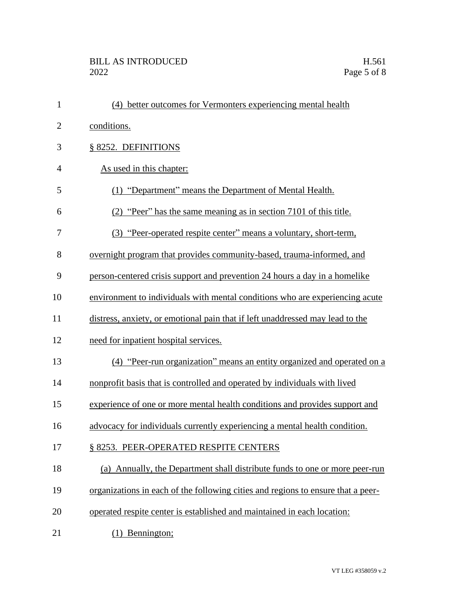| $\mathbf{1}$   | (4) better outcomes for Vermonters experiencing mental health                    |
|----------------|----------------------------------------------------------------------------------|
| $\overline{2}$ | conditions.                                                                      |
| 3              | § 8252. DEFINITIONS                                                              |
| $\overline{4}$ | As used in this chapter:                                                         |
| 5              | (1) "Department" means the Department of Mental Health.                          |
| 6              | (2) "Peer" has the same meaning as in section 7101 of this title.                |
| 7              | (3) "Peer-operated respite center" means a voluntary, short-term,                |
| 8              | overnight program that provides community-based, trauma-informed, and            |
| 9              | person-centered crisis support and prevention 24 hours a day in a homelike       |
| 10             | environment to individuals with mental conditions who are experiencing acute     |
| 11             | distress, anxiety, or emotional pain that if left unaddressed may lead to the    |
| 12             | need for inpatient hospital services.                                            |
| 13             | (4) "Peer-run organization" means an entity organized and operated on a          |
| 14             | nonprofit basis that is controlled and operated by individuals with lived        |
| 15             | experience of one or more mental health conditions and provides support and      |
| 16             | advocacy for individuals currently experiencing a mental health condition.       |
| 17             | § 8253. PEER-OPERATED RESPITE CENTERS                                            |
| 18             | (a) Annually, the Department shall distribute funds to one or more peer-run      |
| 19             | organizations in each of the following cities and regions to ensure that a peer- |
| 20             | operated respite center is established and maintained in each location:          |
| 21             | (1) Bennington;                                                                  |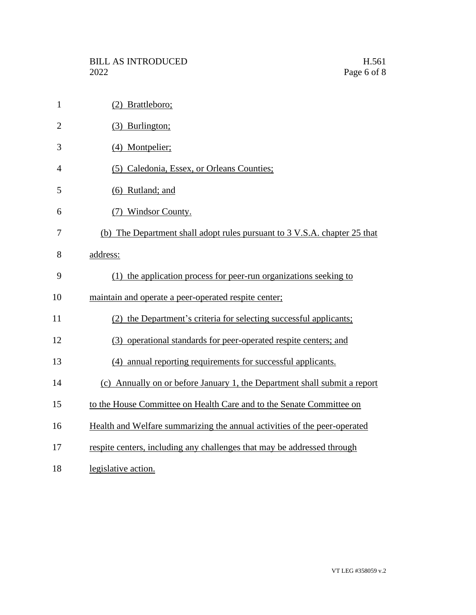| $\mathbf{1}$   | (2) Brattleboro;                                                          |
|----------------|---------------------------------------------------------------------------|
| $\overline{2}$ | (3) Burlington;                                                           |
| 3              | (4) Montpelier;                                                           |
| $\overline{4}$ | (5) Caledonia, Essex, or Orleans Counties;                                |
| 5              | $(6)$ Rutland; and                                                        |
| 6              | (7) Windsor County.                                                       |
| 7              | (b) The Department shall adopt rules pursuant to 3 V.S.A. chapter 25 that |
| 8              | address:                                                                  |
| 9              | (1) the application process for peer-run organizations seeking to         |
| 10             | maintain and operate a peer-operated respite center;                      |
| 11             | (2) the Department's criteria for selecting successful applicants;        |
| 12             | (3) operational standards for peer-operated respite centers; and          |
| 13             | (4) annual reporting requirements for successful applicants.              |
| 14             | (c) Annually on or before January 1, the Department shall submit a report |
| 15             | to the House Committee on Health Care and to the Senate Committee on      |
| 16             | Health and Welfare summarizing the annual activities of the peer-operated |
| 17             | respite centers, including any challenges that may be addressed through   |
| 18             | legislative action.                                                       |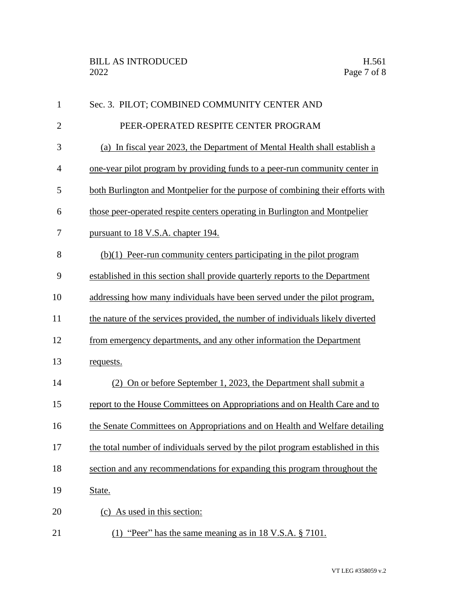| $\mathbf{1}$   | Sec. 3. PILOT; COMBINED COMMUNITY CENTER AND                                    |
|----------------|---------------------------------------------------------------------------------|
| $\mathbf{2}$   | PEER-OPERATED RESPITE CENTER PROGRAM                                            |
| 3              | (a) In fiscal year 2023, the Department of Mental Health shall establish a      |
| $\overline{4}$ | one-year pilot program by providing funds to a peer-run community center in     |
| 5              | both Burlington and Montpelier for the purpose of combining their efforts with  |
| 6              | those peer-operated respite centers operating in Burlington and Montpelier      |
| 7              | pursuant to 18 V.S.A. chapter 194.                                              |
| 8              | $(b)(1)$ Peer-run community centers participating in the pilot program          |
| 9              | established in this section shall provide quarterly reports to the Department   |
| 10             | addressing how many individuals have been served under the pilot program,       |
| 11             | the nature of the services provided, the number of individuals likely diverted  |
| 12             | from emergency departments, and any other information the Department            |
| 13             | requests.                                                                       |
| 14             | (2) On or before September 1, 2023, the Department shall submit a               |
| 15             | report to the House Committees on Appropriations and on Health Care and to      |
| 16             | the Senate Committees on Appropriations and on Health and Welfare detailing     |
| 17             | the total number of individuals served by the pilot program established in this |
| 18             | section and any recommendations for expanding this program throughout the       |
| 19             | State.                                                                          |
| 20             | (c) As used in this section:                                                    |
| 21             | "Peer" has the same meaning as in 18 V.S.A. § 7101.<br>(1)                      |